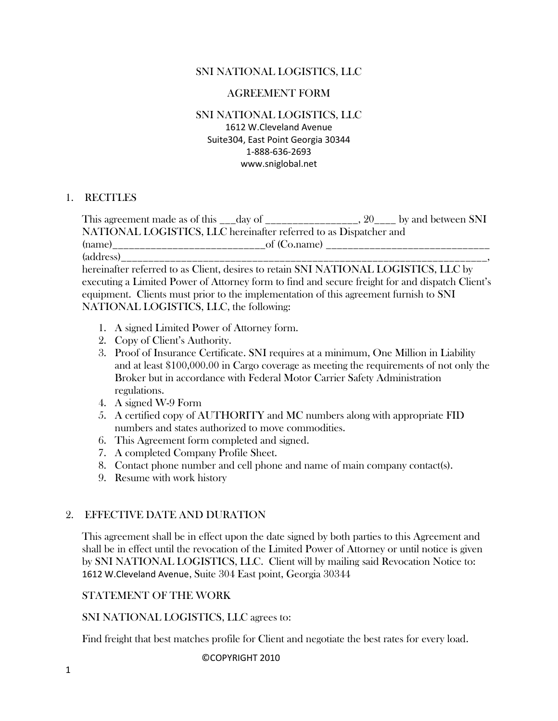### SNI NATIONAL LOGISTICS, LLC

#### AGREEMENT FORM

# SNI NATIONAL LOGISTICS, LLC

1612 W.Cleveland Avenue Suite304, East Point Georgia 30344 1-888-636-2693 www.sniglobal.net

#### 1. RECITLES

This agreement made as of this  $\_\_day$  of  $\_\_$ NATIONAL LOGISTICS, LLC hereinafter referred to as Dispatcher and (name)\_\_\_\_\_\_\_\_\_\_\_\_\_\_\_\_\_\_\_\_\_\_\_\_\_\_\_\_of (Co.name) \_\_\_\_\_\_\_\_\_\_\_\_\_\_\_\_\_\_\_\_\_\_\_\_\_\_\_\_\_\_ (address)\_\_\_\_\_\_\_\_\_\_\_\_\_\_\_\_\_\_\_\_\_\_\_\_\_\_\_\_\_\_\_\_\_\_\_\_\_\_\_\_\_\_\_\_\_\_\_\_\_\_\_\_\_\_\_\_\_\_\_\_\_\_\_\_\_\_\_,

hereinafter referred to as Client, desires to retain SNI NATIONAL LOGISTICS, LLC by executing a Limited Power of Attorney form to find and secure freight for and dispatch Client's equipment. Clients must prior to the implementation of this agreement furnish to SNI NATIONAL LOGISTICS, LLC, the following:

- 1. A signed Limited Power of Attorney form.
- 2. Copy of Client's Authority.
- 3. Proof of Insurance Certificate. SNI requires at a minimum, One Million in Liability and at least \$100,000.00 in Cargo coverage as meeting the requirements of not only the Broker but in accordance with Federal Motor Carrier Safety Administration regulations.
- 4. A signed W-9 Form
- 5. A certified copy of AUTHORITY and MC numbers along with appropriate FID numbers and states authorized to move commodities.
- 6. This Agreement form completed and signed.
- 7. A completed Company Profile Sheet.
- 8. Contact phone number and cell phone and name of main company contact(s).
- 9. Resume with work history

### 2. EFFECTIVE DATE AND DURATION

This agreement shall be in effect upon the date signed by both parties to this Agreement and shall be in effect until the revocation of the Limited Power of Attorney or until notice is given by SNI NATIONAL LOGISTICS, LLC. Client will by mailing said Revocation Notice to: 1612 W.Cleveland Avenue, Suite 304 East point, Georgia 30344

### STATEMENT OF THE WORK

### SNI NATIONAL LOGISTICS, LLC agrees to:

Find freight that best matches profile for Client and negotiate the best rates for every load.

©COPYRIGHT 2010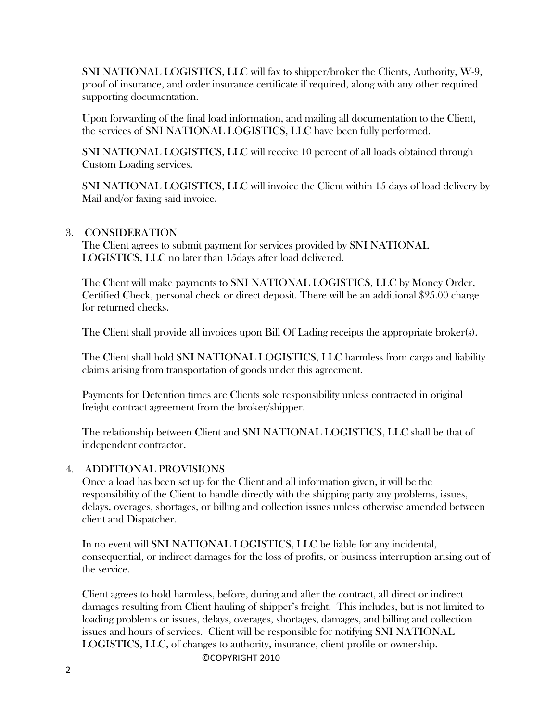SNI NATIONAL LOGISTICS, LLC will fax to shipper/broker the Clients, Authority, W-9, proof of insurance, and order insurance certificate if required, along with any other required supporting documentation.

Upon forwarding of the final load information, and mailing all documentation to the Client, the services of SNI NATIONAL LOGISTICS, LLC have been fully performed.

SNI NATIONAL LOGISTICS, LLC will receive 10 percent of all loads obtained through Custom Loading services.

SNI NATIONAL LOGISTICS, LLC will invoice the Client within 15 days of load delivery by Mail and/or faxing said invoice.

### 3. CONSIDERATION

The Client agrees to submit payment for services provided by SNI NATIONAL LOGISTICS, LLC no later than 15days after load delivered.

The Client will make payments to SNI NATIONAL LOGISTICS, LLC by Money Order, Certified Check, personal check or direct deposit. There will be an additional \$25.00 charge for returned checks.

The Client shall provide all invoices upon Bill Of Lading receipts the appropriate broker(s).

The Client shall hold SNI NATIONAL LOGISTICS, LLC harmless from cargo and liability claims arising from transportation of goods under this agreement.

Payments for Detention times are Clients sole responsibility unless contracted in original freight contract agreement from the broker/shipper.

The relationship between Client and SNI NATIONAL LOGISTICS, LLC shall be that of independent contractor.

### 4. ADDITIONAL PROVISIONS

Once a load has been set up for the Client and all information given, it will be the responsibility of the Client to handle directly with the shipping party any problems, issues, delays, overages, shortages, or billing and collection issues unless otherwise amended between client and Dispatcher.

In no event will SNI NATIONAL LOGISTICS, LLC be liable for any incidental, consequential, or indirect damages for the loss of profits, or business interruption arising out of the service.

Client agrees to hold harmless, before, during and after the contract, all direct or indirect damages resulting from Client hauling of shipper's freight. This includes, but is not limited to loading problems or issues, delays, overages, shortages, damages, and billing and collection issues and hours of services. Client will be responsible for notifying SNI NATIONAL LOGISTICS, LLC, of changes to authority, insurance, client profile or ownership.

©COPYRIGHT 2010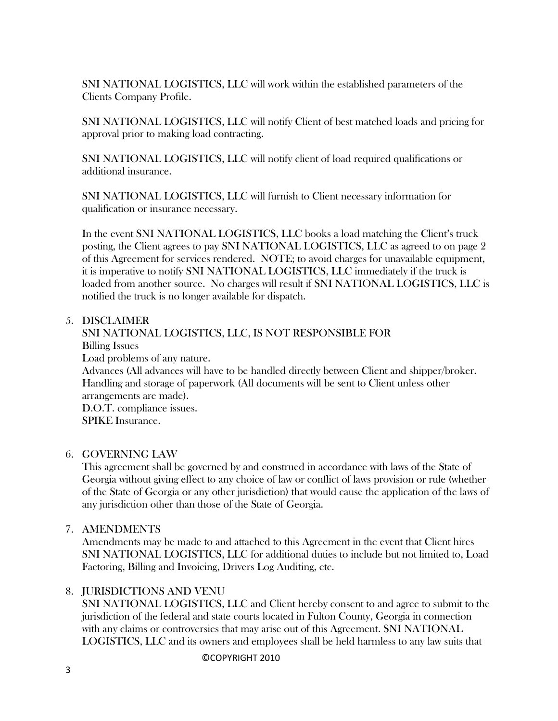SNI NATIONAL LOGISTICS, LLC will work within the established parameters of the Clients Company Profile.

SNI NATIONAL LOGISTICS, LLC will notify Client of best matched loads and pricing for approval prior to making load contracting.

SNI NATIONAL LOGISTICS, LLC will notify client of load required qualifications or additional insurance.

SNI NATIONAL LOGISTICS, LLC will furnish to Client necessary information for qualification or insurance necessary.

In the event SNI NATIONAL LOGISTICS, LLC books a load matching the Client's truck posting, the Client agrees to pay SNI NATIONAL LOGISTICS, LLC as agreed to on page 2 of this Agreement for services rendered. NOTE; to avoid charges for unavailable equipment, it is imperative to notify SNI NATIONAL LOGISTICS, LLC immediately if the truck is loaded from another source. No charges will result if SNI NATIONAL LOGISTICS, LLC is notified the truck is no longer available for dispatch.

### 5. DISCLAIMER

SNI NATIONAL LOGISTICS, LLC, IS NOT RESPONSIBLE FOR Billing Issues Load problems of any nature. Advances (All advances will have to be handled directly between Client and shipper/broker. Handling and storage of paperwork (All documents will be sent to Client unless other arrangements are made). D.O.T. compliance issues. SPIKE Insurance.

### 6. GOVERNING LAW

This agreement shall be governed by and construed in accordance with laws of the State of Georgia without giving effect to any choice of law or conflict of laws provision or rule (whether of the State of Georgia or any other jurisdiction) that would cause the application of the laws of any jurisdiction other than those of the State of Georgia.

## 7. AMENDMENTS

Amendments may be made to and attached to this Agreement in the event that Client hires SNI NATIONAL LOGISTICS, LLC for additional duties to include but not limited to, Load Factoring, Billing and Invoicing, Drivers Log Auditing, etc.

## 8. JURISDICTIONS AND VENU

SNI NATIONAL LOGISTICS, LLC and Client hereby consent to and agree to submit to the jurisdiction of the federal and state courts located in Fulton County, Georgia in connection with any claims or controversies that may arise out of this Agreement. SNI NATIONAL LOGISTICS, LLC and its owners and employees shall be held harmless to any law suits that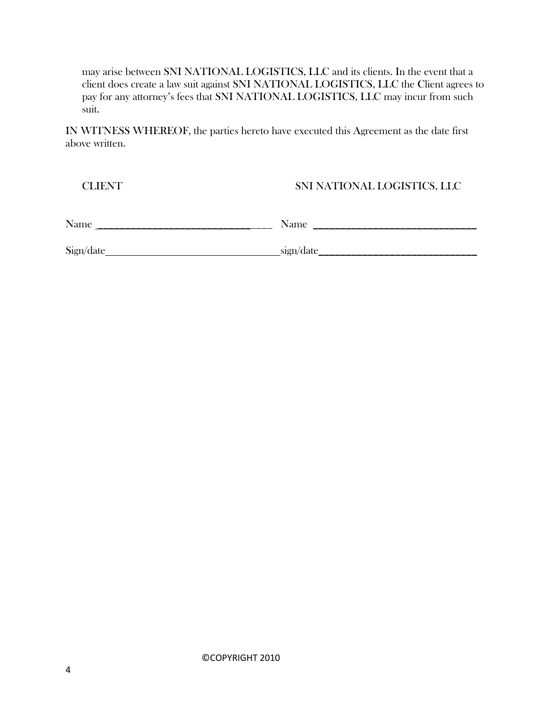may arise between SNI NATIONAL LOGISTICS, LLC and its clients. In the event that a client does create a law suit against SNI NATIONAL LOGISTICS, LLC the Client agrees to pay for any attorney's fees that SNI NATIONAL LOGISTICS, LLC may incur from such suit.

IN WITNESS WHEREOF, the parties hereto have executed this Agreement as the date first above written.

# CLIENT SNI NATIONAL LOGISTICS, LLC

| Nam<br><u>sa bandara dan bandara dan bandara dan bandara dan bandara dan bandara dan bandara dan bandara dan jama'an dan</u><br>- - | Name                          |
|-------------------------------------------------------------------------------------------------------------------------------------|-------------------------------|
| Sign/date                                                                                                                           | الكارىتى $\mu$ udl $\sigma_-$ |